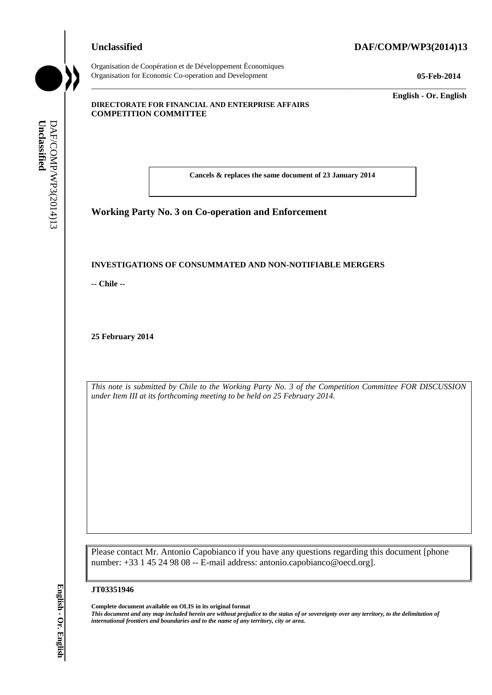# **Unclassified DAF/COMP/WP3(2014)13**



Organisation de Coopération et de Développement Économiques Organisation for Economic Co-operation and Development **05-Feb-2014**

\_\_\_\_\_\_\_\_\_\_\_\_\_ **English - Or. English**

#### **DIRECTORATE FOR FINANCIAL AND ENTERPRISE AFFAIRS COMPETITION COMMITTEE**

**Cancels & replaces the same document of 23 January 2014**

\_\_\_\_\_\_\_\_\_\_\_\_\_\_\_\_\_\_\_\_\_\_\_\_\_\_\_\_\_\_\_\_\_\_\_\_\_\_\_\_\_\_\_\_\_\_\_\_\_\_\_\_\_\_\_\_\_\_\_\_\_\_\_\_\_\_\_\_\_\_\_\_\_\_\_\_\_\_\_\_\_\_\_\_\_\_\_\_\_\_\_

**Working Party No. 3 on Co-operation and Enforcement**

#### **INVESTIGATIONS OF CONSUMMATED AND NON-NOTIFIABLE MERGERS**

**-- Chile --**

**25 February 2014**

*This note is submitted by Chile to the Working Party No. 3 of the Competition Committee FOR DISCUSSION under Item III at its forthcoming meeting to be held on 25 February 2014.*

Please contact Mr. Antonio Capobianco if you have any questions regarding this document [phone number: +33 1 45 24 98 08 -- E-mail address: antonio.capobianco@oecd.org]. **iii** *international* frontiers and boundaries and boundaries and boundaries and to the name of any territory, city or area.<br> **IVANSETIGATIONS OF CONSUMMATED AND NON-NOT**<br>
- Chile --<br>
25 February 2014<br>
This note is submitt

#### **JT03351946**

**Complete document available on OLIS in its original format**

*This document and any map included herein are without prejudice to the status of or sovereignty over any territory, to the delimitation of*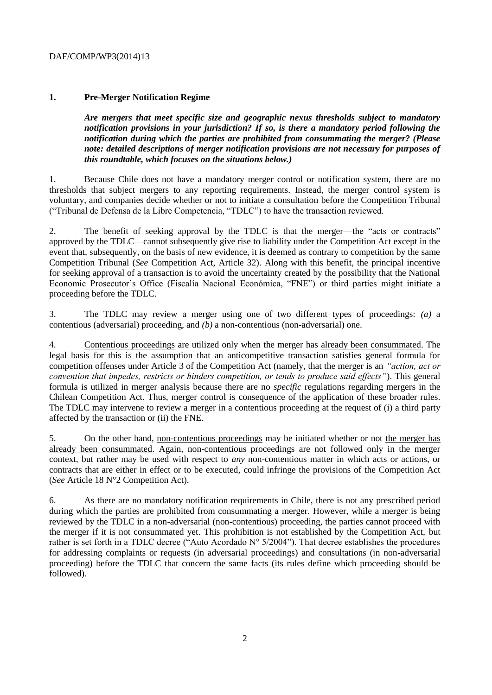# DAF/COMP/WP3(2014)13

# **1. Pre-Merger Notification Regime**

*Are mergers that meet specific size and geographic nexus thresholds subject to mandatory notification provisions in your jurisdiction? If so, is there a mandatory period following the notification during which the parties are prohibited from consummating the merger? (Please note: detailed descriptions of merger notification provisions are not necessary for purposes of this roundtable, which focuses on the situations below.)*

1. Because Chile does not have a mandatory merger control or notification system, there are no thresholds that subject mergers to any reporting requirements. Instead, the merger control system is voluntary, and companies decide whether or not to initiate a consultation before the Competition Tribunal ("Tribunal de Defensa de la Libre Competencia, "TDLC") to have the transaction reviewed.

2. The benefit of seeking approval by the TDLC is that the merger—the "acts or contracts" approved by the TDLC—cannot subsequently give rise to liability under the Competition Act except in the event that, subsequently, on the basis of new evidence, it is deemed as contrary to competition by the same Competition Tribunal (*See* Competition Act, Article 32). Along with this benefit, the principal incentive for seeking approval of a transaction is to avoid the uncertainty created by the possibility that the National Economic Prosecutor's Office (Fiscalía Nacional Económica, "FNE") or third parties might initiate a proceeding before the TDLC.

3. The TDLC may review a merger using one of two different types of proceedings: *(a)* a contentious (adversarial) proceeding, and *(b)* a non-contentious (non-adversarial) one.

4. Contentious proceedings are utilized only when the merger has already been consummated. The legal basis for this is the assumption that an anticompetitive transaction satisfies general formula for competition offenses under Article 3 of the Competition Act (namely, that the merger is an *"action, act or convention that impedes, restricts or hinders competition, or tends to produce said effects"*). This general formula is utilized in merger analysis because there are no *specific* regulations regarding mergers in the Chilean Competition Act. Thus, merger control is consequence of the application of these broader rules. The TDLC may intervene to review a merger in a contentious proceeding at the request of (i) a third party affected by the transaction or (ii) the FNE.

5. On the other hand, non-contentious proceedings may be initiated whether or not the merger has already been consummated. Again, non-contentious proceedings are not followed only in the merger context, but rather may be used with respect to *any* non-contentious matter in which acts or actions, or contracts that are either in effect or to be executed, could infringe the provisions of the Competition Act (*See* Article 18 N°2 Competition Act).

6. As there are no mandatory notification requirements in Chile, there is not any prescribed period during which the parties are prohibited from consummating a merger. However, while a merger is being reviewed by the TDLC in a non-adversarial (non-contentious) proceeding, the parties cannot proceed with the merger if it is not consummated yet. This prohibition is not established by the Competition Act, but rather is set forth in a TDLC decree ("Auto Acordado N° 5/2004"). That decree establishes the procedures for addressing complaints or requests (in adversarial proceedings) and consultations (in non-adversarial proceeding) before the TDLC that concern the same facts (its rules define which proceeding should be followed).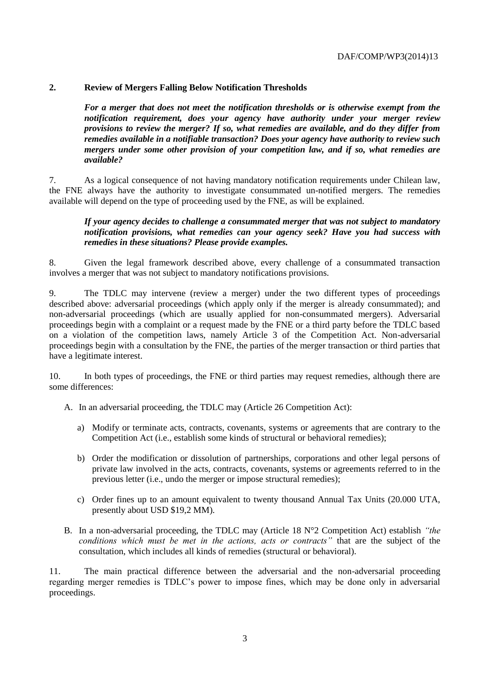# **2. Review of Mergers Falling Below Notification Thresholds**

*For a merger that does not meet the notification thresholds or is otherwise exempt from the notification requirement, does your agency have authority under your merger review provisions to review the merger? If so, what remedies are available, and do they differ from remedies available in a notifiable transaction? Does your agency have authority to review such mergers under some other provision of your competition law, and if so, what remedies are available?* 

7. As a logical consequence of not having mandatory notification requirements under Chilean law, the FNE always have the authority to investigate consummated un-notified mergers. The remedies available will depend on the type of proceeding used by the FNE, as will be explained.

#### *If your agency decides to challenge a consummated merger that was not subject to mandatory notification provisions, what remedies can your agency seek? Have you had success with remedies in these situations? Please provide examples.*

8. Given the legal framework described above, every challenge of a consummated transaction involves a merger that was not subject to mandatory notifications provisions.

9. The TDLC may intervene (review a merger) under the two different types of proceedings described above: adversarial proceedings (which apply only if the merger is already consummated); and non-adversarial proceedings (which are usually applied for non-consummated mergers). Adversarial proceedings begin with a complaint or a request made by the FNE or a third party before the TDLC based on a violation of the competition laws, namely Article 3 of the Competition Act. Non-adversarial proceedings begin with a consultation by the FNE, the parties of the merger transaction or third parties that have a legitimate interest.

10. In both types of proceedings, the FNE or third parties may request remedies, although there are some differences:

A. In an adversarial proceeding, the TDLC may (Article 26 Competition Act):

- a) Modify or terminate acts, contracts, covenants, systems or agreements that are contrary to the Competition Act (i.e., establish some kinds of structural or behavioral remedies);
- b) Order the modification or dissolution of partnerships, corporations and other legal persons of private law involved in the acts, contracts, covenants, systems or agreements referred to in the previous letter (i.e., undo the merger or impose structural remedies);
- c) Order fines up to an amount equivalent to twenty thousand Annual Tax Units (20.000 UTA, presently about USD \$19,2 MM).
- B. In a non-adversarial proceeding, the TDLC may (Article 18 N°2 Competition Act) establish *"the conditions which must be met in the actions, acts or contracts"* that are the subject of the consultation, which includes all kinds of remedies (structural or behavioral).

11. The main practical difference between the adversarial and the non-adversarial proceeding regarding merger remedies is TDLC's power to impose fines, which may be done only in adversarial proceedings.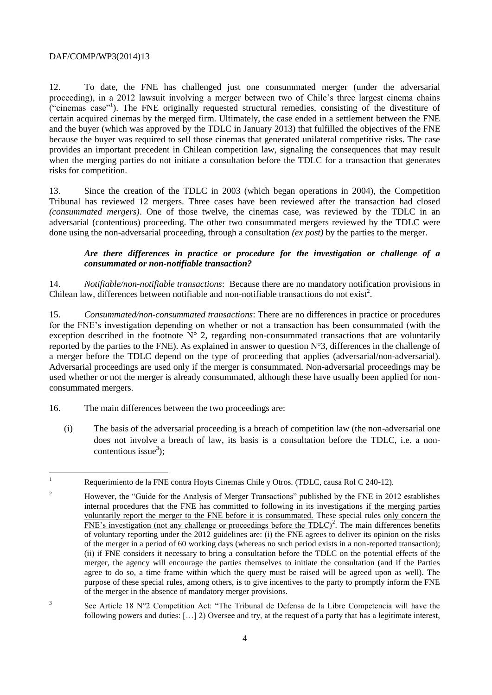#### DAF/COMP/WP3(2014)13

12. To date, the FNE has challenged just one consummated merger (under the adversarial proceeding), in a 2012 lawsuit involving a merger between two of Chile's three largest cinema chains ("cinemas case"<sup>1</sup> ). The FNE originally requested structural remedies, consisting of the divestiture of certain acquired cinemas by the merged firm. Ultimately, the case ended in a settlement between the FNE and the buyer (which was approved by the TDLC in January 2013) that fulfilled the objectives of the FNE because the buyer was required to sell those cinemas that generated unilateral competitive risks. The case provides an important precedent in Chilean competition law, signaling the consequences that may result when the merging parties do not initiate a consultation before the TDLC for a transaction that generates risks for competition.

13. Since the creation of the TDLC in 2003 (which began operations in 2004), the Competition Tribunal has reviewed 12 mergers. Three cases have been reviewed after the transaction had closed *(consummated mergers)*. One of those twelve, the cinemas case, was reviewed by the TDLC in an adversarial (contentious) proceeding. The other two consummated mergers reviewed by the TDLC were done using the non-adversarial proceeding, through a consultation *(ex post)* by the parties to the merger.

# *Are there differences in practice or procedure for the investigation or challenge of a consummated or non-notifiable transaction?*

14. *Notifiable/non-notifiable transactions*: Because there are no mandatory notification provisions in Chilean law, differences between notifiable and non-notifiable transactions do not exist<sup>2</sup>.

15. *Consummated/non-consummated transactions*: There are no differences in practice or procedures for the FNE's investigation depending on whether or not a transaction has been consummated (with the exception described in the footnote  $N^{\circ}$  2, regarding non-consummated transactions that are voluntarily reported by the parties to the FNE). As explained in answer to question N°3, differences in the challenge of a merger before the TDLC depend on the type of proceeding that applies (adversarial/non-adversarial). Adversarial proceedings are used only if the merger is consummated. Non-adversarial proceedings may be used whether or not the merger is already consummated, although these have usually been applied for nonconsummated mergers.

- 16. The main differences between the two proceedings are:
	- (i) The basis of the adversarial proceeding is a breach of competition law (the non-adversarial one does not involve a breach of law, its basis is a consultation before the TDLC, i.e. a noncontentious issue<sup>3</sup>);

 $\mathbf{1}$ <sup>1</sup> Requerimiento de la FNE contra Hoyts Cinemas Chile y Otros. (TDLC, causa Rol C 240-12).

<sup>&</sup>lt;sup>2</sup> However, the "Guide for the Analysis of Merger Transactions" published by the FNE in 2012 establishes internal procedures that the FNE has committed to following in its investigations if the merging parties voluntarily report the merger to the FNE before it is consummated. These special rules only concern the  $FNE$ 's investigation (not any challenge or proceedings before the TDLC)<sup>2</sup>. The main differences benefits of voluntary reporting under the 2012 guidelines are: (i) the FNE agrees to deliver its opinion on the risks of the merger in a period of 60 working days (whereas no such period exists in a non-reported transaction); (ii) if FNE considers it necessary to bring a consultation before the TDLC on the potential effects of the merger, the agency will encourage the parties themselves to initiate the consultation (and if the Parties agree to do so, a time frame within which the query must be raised will be agreed upon as well). The purpose of these special rules, among others, is to give incentives to the party to promptly inform the FNE of the merger in the absence of mandatory merger provisions.

<sup>3</sup> See Article 18 N°2 Competition Act: "The Tribunal de Defensa de la Libre Competencia will have the following powers and duties: […] 2) Oversee and try, at the request of a party that has a legitimate interest,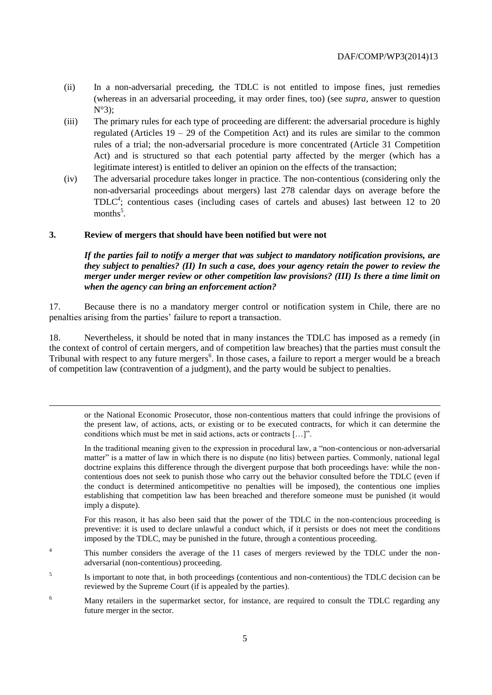- (ii) In a non-adversarial preceding, the TDLC is not entitled to impose fines, just remedies (whereas in an adversarial proceeding, it may order fines, too) (see *supra,* answer to question N°3);
- (iii) The primary rules for each type of proceeding are different: the adversarial procedure is highly regulated (Articles  $19 - 29$  of the Competition Act) and its rules are similar to the common rules of a trial; the non-adversarial procedure is more concentrated (Article 31 Competition Act) and is structured so that each potential party affected by the merger (which has a legitimate interest) is entitled to deliver an opinion on the effects of the transaction;
- (iv) The adversarial procedure takes longer in practice. The non-contentious (considering only the non-adversarial proceedings about mergers) last 278 calendar days on average before the TDLC*<sup>4</sup>* ; contentious cases (including cases of cartels and abuses) last between 12 to 20 months<sup>5</sup>.

#### **3. Review of mergers that should have been notified but were not**

l

#### *If the parties fail to notify a merger that was subject to mandatory notification provisions, are they subject to penalties? (II) In such a case, does your agency retain the power to review the merger under merger review or other competition law provisions? (III) Is there a time limit on when the agency can bring an enforcement action?*

17. Because there is no a mandatory merger control or notification system in Chile, there are no penalties arising from the parties' failure to report a transaction.

18. Nevertheless, it should be noted that in many instances the TDLC has imposed as a remedy (in the context of control of certain mergers, and of competition law breaches) that the parties must consult the Tribunal with respect to any future mergers<sup>6</sup>. In those cases, a failure to report a merger would be a breach of competition law (contravention of a judgment), and the party would be subject to penalties.

or the National Economic Prosecutor, those non-contentious matters that could infringe the provisions of the present law, of actions, acts, or existing or to be executed contracts, for which it can determine the conditions which must be met in said actions, acts or contracts […]".

In the traditional meaning given to the expression in procedural law, a "non-contencious or non-adversarial matter" is a matter of law in which there is no dispute (no litis) between parties. Commonly, national legal doctrine explains this difference through the divergent purpose that both proceedings have: while the noncontentious does not seek to punish those who carry out the behavior consulted before the TDLC (even if the conduct is determined anticompetitive no penalties will be imposed), the contentious one implies establishing that competition law has been breached and therefore someone must be punished (it would imply a dispute).

For this reason, it has also been said that the power of the TDLC in the non-contencious proceeding is preventive: it is used to declare unlawful a conduct which, if it persists or does not meet the conditions imposed by the TDLC, may be punished in the future, through a contentious proceeding.

- <sup>4</sup> This number considers the average of the 11 cases of mergers reviewed by the TDLC under the nonadversarial (non-contentious) proceeding.
- 5 Is important to note that, in both proceedings (contentious and non-contentious) the TDLC decision can be reviewed by the Supreme Court (if is appealed by the parties).
- <sup>6</sup> Many retailers in the supermarket sector, for instance, are required to consult the TDLC regarding any future merger in the sector.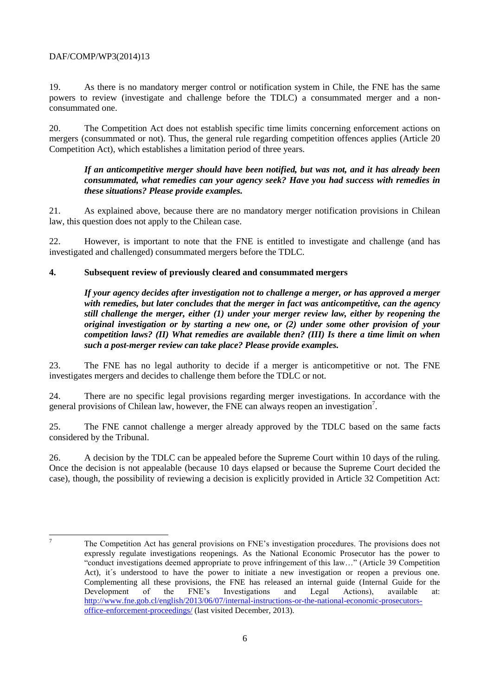# DAF/COMP/WP3(2014)13

19. As there is no mandatory merger control or notification system in Chile, the FNE has the same powers to review (investigate and challenge before the TDLC) a consummated merger and a nonconsummated one.

20. The Competition Act does not establish specific time limits concerning enforcement actions on mergers (consummated or not). Thus, the general rule regarding competition offences applies (Article 20 Competition Act), which establishes a limitation period of three years.

#### *If an anticompetitive merger should have been notified, but was not, and it has already been consummated, what remedies can your agency seek? Have you had success with remedies in these situations? Please provide examples.*

21. As explained above, because there are no mandatory merger notification provisions in Chilean law, this question does not apply to the Chilean case.

22. However, is important to note that the FNE is entitled to investigate and challenge (and has investigated and challenged) consummated mergers before the TDLC.

# **4. Subsequent review of previously cleared and consummated mergers**

*If your agency decides after investigation not to challenge a merger, or has approved a merger with remedies, but later concludes that the merger in fact was anticompetitive, can the agency still challenge the merger, either (1) under your merger review law, either by reopening the original investigation or by starting a new one, or (2) under some other provision of your competition laws? (II) What remedies are available then? (III) Is there a time limit on when such a post-merger review can take place? Please provide examples.*

23. The FNE has no legal authority to decide if a merger is anticompetitive or not. The FNE investigates mergers and decides to challenge them before the TDLC or not.

24. There are no specific legal provisions regarding merger investigations. In accordance with the general provisions of Chilean law, however, the FNE can always reopen an investigation<sup>7</sup>.

25. The FNE cannot challenge a merger already approved by the TDLC based on the same facts considered by the Tribunal.

26. A decision by the TDLC can be appealed before the Supreme Court within 10 days of the ruling. Once the decision is not appealable (because 10 days elapsed or because the Supreme Court decided the case), though, the possibility of reviewing a decision is explicitly provided in Article 32 Competition Act:

 $\overline{z}$ 

<sup>7</sup> The Competition Act has general provisions on FNE's investigation procedures. The provisions does not expressly regulate investigations reopenings. As the National Economic Prosecutor has the power to "conduct investigations deemed appropriate to prove infringement of this law…" (Article 39 Competition Act), it's understood to have the power to initiate a new investigation or reopen a previous one. Complementing all these provisions, the FNE has released an internal guide (Internal Guide for the Development of the FNE's Investigations and Legal Actions), available at: [http://www.fne.gob.cl/english/2013/06/07/internal-instructions-or-the-national-economic-prosecutors](http://www.fne.gob.cl/english/2013/06/07/internal-instructions-or-the-national-economic-prosecutors-office-enforcement-proceedings/)[office-enforcement-proceedings/](http://www.fne.gob.cl/english/2013/06/07/internal-instructions-or-the-national-economic-prosecutors-office-enforcement-proceedings/) (last visited December, 2013).